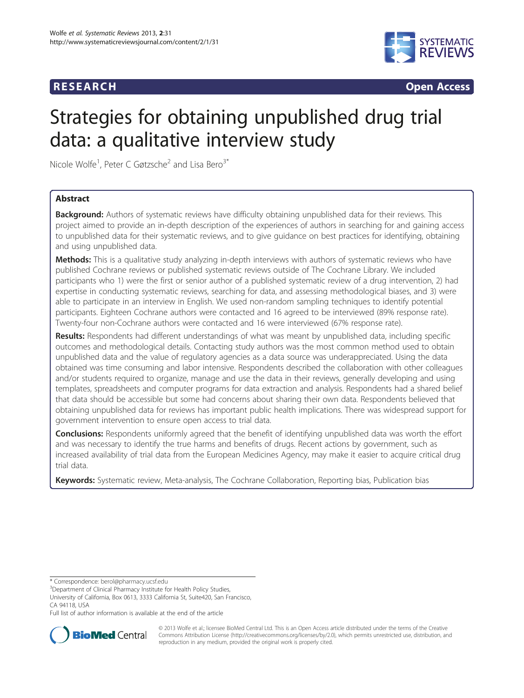# **RESEARCH RESEARCH CONSUMING ACCESS**



# Strategies for obtaining unpublished drug trial data: a qualitative interview study

Nicole Wolfe<sup>1</sup>, Peter C Gøtzsche<sup>2</sup> and Lisa Bero<sup>3\*</sup>

# Abstract

Background: Authors of systematic reviews have difficulty obtaining unpublished data for their reviews. This project aimed to provide an in-depth description of the experiences of authors in searching for and gaining access to unpublished data for their systematic reviews, and to give guidance on best practices for identifying, obtaining and using unpublished data.

Methods: This is a qualitative study analyzing in-depth interviews with authors of systematic reviews who have published Cochrane reviews or published systematic reviews outside of The Cochrane Library. We included participants who 1) were the first or senior author of a published systematic review of a drug intervention, 2) had expertise in conducting systematic reviews, searching for data, and assessing methodological biases, and 3) were able to participate in an interview in English. We used non-random sampling techniques to identify potential participants. Eighteen Cochrane authors were contacted and 16 agreed to be interviewed (89% response rate). Twenty-four non-Cochrane authors were contacted and 16 were interviewed (67% response rate).

Results: Respondents had different understandings of what was meant by unpublished data, including specific outcomes and methodological details. Contacting study authors was the most common method used to obtain unpublished data and the value of regulatory agencies as a data source was underappreciated. Using the data obtained was time consuming and labor intensive. Respondents described the collaboration with other colleagues and/or students required to organize, manage and use the data in their reviews, generally developing and using templates, spreadsheets and computer programs for data extraction and analysis. Respondents had a shared belief that data should be accessible but some had concerns about sharing their own data. Respondents believed that obtaining unpublished data for reviews has important public health implications. There was widespread support for government intervention to ensure open access to trial data.

Conclusions: Respondents uniformly agreed that the benefit of identifying unpublished data was worth the effort and was necessary to identify the true harms and benefits of drugs. Recent actions by government, such as increased availability of trial data from the European Medicines Agency, may make it easier to acquire critical drug trial data.

Keywords: Systematic review, Meta-analysis, The Cochrane Collaboration, Reporting bias, Publication bias

\* Correspondence: [berol@pharmacy.ucsf.edu](mailto:berol@pharmacy.ucsf.edu) <sup>3</sup>

<sup>3</sup>Department of Clinical Pharmacy Institute for Health Policy Studies,

University of California, Box 0613, 3333 California St, Suite420, San Francisco, CA 94118, USA

Full list of author information is available at the end of the article



© 2013 Wolfe et al.; licensee BioMed Central Ltd. This is an Open Access article distributed under the terms of the Creative Commons Attribution License [\(http://creativecommons.org/licenses/by/2.0\)](http://creativecommons.org/licenses/by/2.0), which permits unrestricted use, distribution, and reproduction in any medium, provided the original work is properly cited.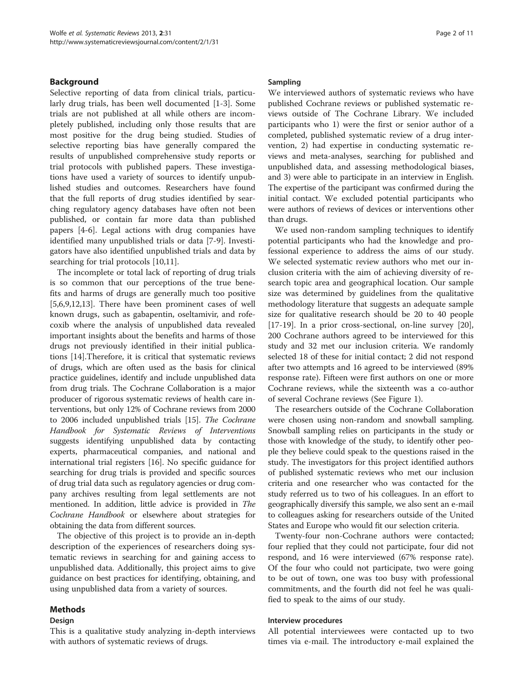## Background

Selective reporting of data from clinical trials, particularly drug trials, has been well documented [\[1](#page-9-0)-[3\]](#page-9-0). Some trials are not published at all while others are incompletely published, including only those results that are most positive for the drug being studied. Studies of selective reporting bias have generally compared the results of unpublished comprehensive study reports or trial protocols with published papers. These investigations have used a variety of sources to identify unpublished studies and outcomes. Researchers have found that the full reports of drug studies identified by searching regulatory agency databases have often not been published, or contain far more data than published papers [[4-6](#page-9-0)]. Legal actions with drug companies have identified many unpublished trials or data [[7-9](#page-9-0)]. Investigators have also identified unpublished trials and data by searching for trial protocols [[10](#page-9-0),[11](#page-9-0)].

The incomplete or total lack of reporting of drug trials is so common that our perceptions of the true benefits and harms of drugs are generally much too positive [[5,6,9,12,13\]](#page-9-0). There have been prominent cases of well known drugs, such as gabapentin, oseltamivir, and rofecoxib where the analysis of unpublished data revealed important insights about the benefits and harms of those drugs not previously identified in their initial publications [\[14](#page-9-0)].Therefore, it is critical that systematic reviews of drugs, which are often used as the basis for clinical practice guidelines, identify and include unpublished data from drug trials. The Cochrane Collaboration is a major producer of rigorous systematic reviews of health care interventions, but only 12% of Cochrane reviews from 2000 to 2006 included unpublished trials [\[15\]](#page-10-0). The Cochrane Handbook for Systematic Reviews of Interventions suggests identifying unpublished data by contacting experts, pharmaceutical companies, and national and international trial registers [\[16](#page-10-0)]. No specific guidance for searching for drug trials is provided and specific sources of drug trial data such as regulatory agencies or drug company archives resulting from legal settlements are not mentioned. In addition, little advice is provided in The Cochrane Handbook or elsewhere about strategies for obtaining the data from different sources.

The objective of this project is to provide an in-depth description of the experiences of researchers doing systematic reviews in searching for and gaining access to unpublished data. Additionally, this project aims to give guidance on best practices for identifying, obtaining, and using unpublished data from a variety of sources.

### Methods

#### Design

This is a qualitative study analyzing in-depth interviews with authors of systematic reviews of drugs.

#### Sampling

We interviewed authors of systematic reviews who have published Cochrane reviews or published systematic reviews outside of The Cochrane Library. We included participants who 1) were the first or senior author of a completed, published systematic review of a drug intervention, 2) had expertise in conducting systematic reviews and meta-analyses, searching for published and unpublished data, and assessing methodological biases, and 3) were able to participate in an interview in English. The expertise of the participant was confirmed during the initial contact. We excluded potential participants who were authors of reviews of devices or interventions other than drugs.

We used non-random sampling techniques to identify potential participants who had the knowledge and professional experience to address the aims of our study. We selected systematic review authors who met our inclusion criteria with the aim of achieving diversity of research topic area and geographical location. Our sample size was determined by guidelines from the qualitative methodology literature that suggests an adequate sample size for qualitative research should be 20 to 40 people [[17-19](#page-10-0)]. In a prior cross-sectional, on-line survey [\[20](#page-10-0)], 200 Cochrane authors agreed to be interviewed for this study and 32 met our inclusion criteria. We randomly selected 18 of these for initial contact; 2 did not respond after two attempts and 16 agreed to be interviewed (89% response rate). Fifteen were first authors on one or more Cochrane reviews, while the sixteenth was a co-author of several Cochrane reviews (See Figure [1](#page-2-0)).

The researchers outside of the Cochrane Collaboration were chosen using non-random and snowball sampling. Snowball sampling relies on participants in the study or those with knowledge of the study, to identify other people they believe could speak to the questions raised in the study. The investigators for this project identified authors of published systematic reviews who met our inclusion criteria and one researcher who was contacted for the study referred us to two of his colleagues. In an effort to geographically diversify this sample, we also sent an e-mail to colleagues asking for researchers outside of the United States and Europe who would fit our selection criteria.

Twenty-four non-Cochrane authors were contacted; four replied that they could not participate, four did not respond, and 16 were interviewed (67% response rate). Of the four who could not participate, two were going to be out of town, one was too busy with professional commitments, and the fourth did not feel he was qualified to speak to the aims of our study.

#### Interview procedures

All potential interviewees were contacted up to two times via e-mail. The introductory e-mail explained the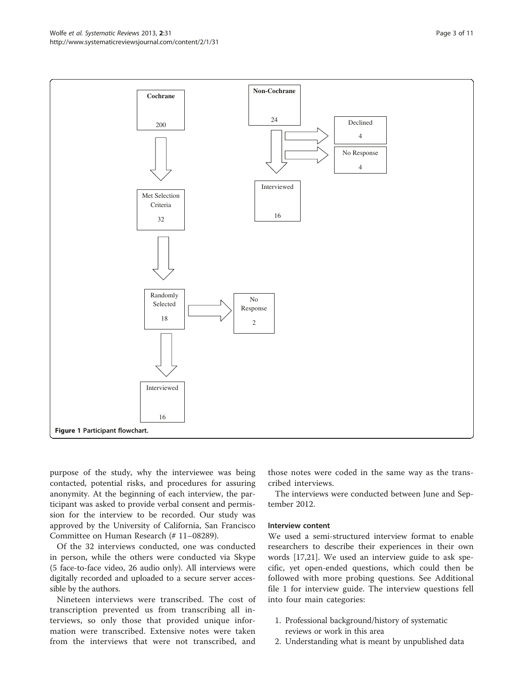<span id="page-2-0"></span>

purpose of the study, why the interviewee was being contacted, potential risks, and procedures for assuring anonymity. At the beginning of each interview, the participant was asked to provide verbal consent and permission for the interview to be recorded. Our study was approved by the University of California, San Francisco Committee on Human Research (# 11–08289).

Of the 32 interviews conducted, one was conducted in person, while the others were conducted via Skype (5 face-to-face video, 26 audio only). All interviews were digitally recorded and uploaded to a secure server accessible by the authors.

Nineteen interviews were transcribed. The cost of transcription prevented us from transcribing all interviews, so only those that provided unique information were transcribed. Extensive notes were taken from the interviews that were not transcribed, and

those notes were coded in the same way as the transcribed interviews.

The interviews were conducted between June and September 2012.

# Interview content

We used a semi-structured interview format to enable researchers to describe their experiences in their own words [[17,21](#page-10-0)]. We used an interview guide to ask specific, yet open-ended questions, which could then be followed with more probing questions. See Additional file [1](#page-9-0) for interview guide. The interview questions fell into four main categories:

- 1. Professional background/history of systematic reviews or work in this area
- 2. Understanding what is meant by unpublished data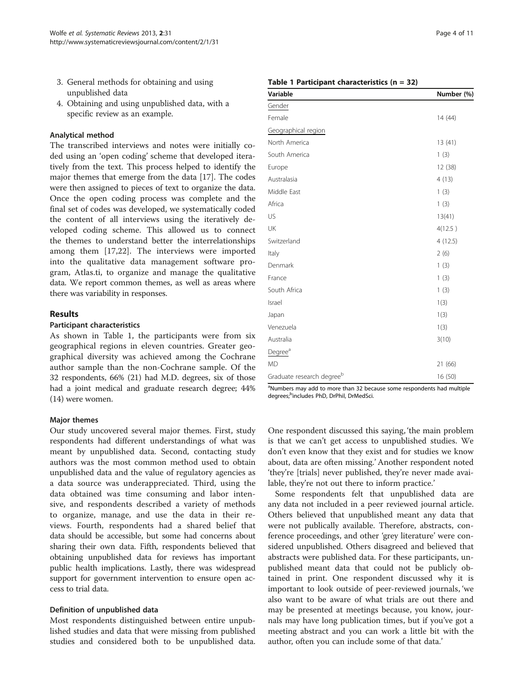- 3. General methods for obtaining and using unpublished data
- 4. Obtaining and using unpublished data, with a specific review as an example.

#### Analytical method

The transcribed interviews and notes were initially coded using an 'open coding' scheme that developed iteratively from the text. This process helped to identify the major themes that emerge from the data [\[17\]](#page-10-0). The codes were then assigned to pieces of text to organize the data. Once the open coding process was complete and the final set of codes was developed, we systematically coded the content of all interviews using the iteratively developed coding scheme. This allowed us to connect the themes to understand better the interrelationships among them [[17,22](#page-10-0)]. The interviews were imported into the qualitative data management software program, Atlas.ti, to organize and manage the qualitative data. We report common themes, as well as areas where there was variability in responses.

#### Results

#### Participant characteristics

As shown in Table 1, the participants were from six geographical regions in eleven countries. Greater geographical diversity was achieved among the Cochrane author sample than the non-Cochrane sample. Of the 32 respondents, 66% (21) had M.D. degrees, six of those had a joint medical and graduate research degree; 44% (14) were women.

#### Major themes

Our study uncovered several major themes. First, study respondents had different understandings of what was meant by unpublished data. Second, contacting study authors was the most common method used to obtain unpublished data and the value of regulatory agencies as a data source was underappreciated. Third, using the data obtained was time consuming and labor intensive, and respondents described a variety of methods to organize, manage, and use the data in their reviews. Fourth, respondents had a shared belief that data should be accessible, but some had concerns about sharing their own data. Fifth, respondents believed that obtaining unpublished data for reviews has important public health implications. Lastly, there was widespread support for government intervention to ensure open access to trial data.

### Definition of unpublished data

Most respondents distinguished between entire unpublished studies and data that were missing from published studies and considered both to be unpublished data.

| Variable                  | Number (%) |
|---------------------------|------------|
| Gender                    |            |
| Female                    | 14(44)     |
| Geographical region       |            |
| North America             | 13(41)     |
| South America             | 1(3)       |
| Europe                    | 12 (38)    |
| Australasia               | 4(13)      |
| Middle East               | 1(3)       |
| Africa                    | 1(3)       |
| US                        | 13(41)     |
| UK                        | 4(12.5)    |
| Switzerland               | 4(12.5)    |
| Italy                     | 2(6)       |
| Denmark                   | 1(3)       |
| France                    | 1(3)       |
| South Africa              | 1(3)       |
| Israel                    | 1(3)       |
| Japan                     | 1(3)       |
| Venezuela                 | 1(3)       |
| Australia                 | 3(10)      |
| Degree <sup>a</sup>       |            |
| <b>MD</b>                 | 21 (66)    |
| Graduate research degreeb | 16 (50)    |

<sup>a</sup>Numbers may add to more than 32 because some respondents had multiple degrees;<sup>b</sup>includes PhD, DrPhil, DrMedSci.

One respondent discussed this saying, 'the main problem is that we can't get access to unpublished studies. We don't even know that they exist and for studies we know about, data are often missing.' Another respondent noted 'they're [trials] never published, they're never made available, they're not out there to inform practice.'

Some respondents felt that unpublished data are any data not included in a peer reviewed journal article. Others believed that unpublished meant any data that were not publically available. Therefore, abstracts, conference proceedings, and other 'grey literature' were considered unpublished. Others disagreed and believed that abstracts were published data. For these participants, unpublished meant data that could not be publicly obtained in print. One respondent discussed why it is important to look outside of peer-reviewed journals, 'we also want to be aware of what trials are out there and may be presented at meetings because, you know, journals may have long publication times, but if you've got a meeting abstract and you can work a little bit with the author, often you can include some of that data.'

#### Table 1 Participant characteristics (n = 32)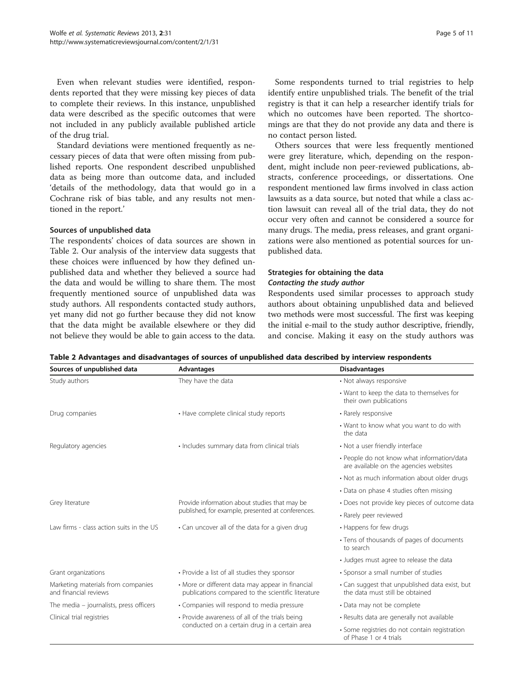Even when relevant studies were identified, respondents reported that they were missing key pieces of data to complete their reviews. In this instance, unpublished data were described as the specific outcomes that were not included in any publicly available published article of the drug trial.

Standard deviations were mentioned frequently as necessary pieces of data that were often missing from published reports. One respondent described unpublished data as being more than outcome data, and included 'details of the methodology, data that would go in a Cochrane risk of bias table, and any results not mentioned in the report.'

#### Sources of unpublished data

The respondents' choices of data sources are shown in Table 2. Our analysis of the interview data suggests that these choices were influenced by how they defined unpublished data and whether they believed a source had the data and would be willing to share them. The most frequently mentioned source of unpublished data was study authors. All respondents contacted study authors, yet many did not go further because they did not know that the data might be available elsewhere or they did not believe they would be able to gain access to the data.

Some respondents turned to trial registries to help identify entire unpublished trials. The benefit of the trial registry is that it can help a researcher identify trials for which no outcomes have been reported. The shortcomings are that they do not provide any data and there is no contact person listed.

Others sources that were less frequently mentioned were grey literature, which, depending on the respondent, might include non peer-reviewed publications, abstracts, conference proceedings, or dissertations. One respondent mentioned law firms involved in class action lawsuits as a data source, but noted that while a class action lawsuit can reveal all of the trial data, they do not occur very often and cannot be considered a source for many drugs. The media, press releases, and grant organizations were also mentioned as potential sources for unpublished data.

# Strategies for obtaining the data Contacting the study author

Respondents used similar processes to approach study authors about obtaining unpublished data and believed two methods were most successful. The first was keeping the initial e-mail to the study author descriptive, friendly, and concise. Making it easy on the study authors was

| Sources of unpublished data                                 | Advantages                                                                                             | <b>Disadvantages</b>                                                                 |
|-------------------------------------------------------------|--------------------------------------------------------------------------------------------------------|--------------------------------------------------------------------------------------|
| Study authors                                               | They have the data                                                                                     | • Not always responsive                                                              |
|                                                             |                                                                                                        | • Want to keep the data to themselves for<br>their own publications                  |
| Drug companies                                              | • Have complete clinical study reports                                                                 | • Rarely responsive                                                                  |
|                                                             |                                                                                                        | • Want to know what you want to do with<br>the data                                  |
| Regulatory agencies                                         | · Includes summary data from clinical trials                                                           | • Not a user friendly interface                                                      |
|                                                             |                                                                                                        | · People do not know what information/data<br>are available on the agencies websites |
|                                                             |                                                                                                        | • Not as much information about older drugs                                          |
|                                                             |                                                                                                        | • Data on phase 4 studies often missing                                              |
| Grey literature                                             | Provide information about studies that may be<br>published, for example, presented at conferences.     | • Does not provide key pieces of outcome data                                        |
|                                                             |                                                                                                        | • Rarely peer reviewed                                                               |
| Law firms - class action suits in the US                    | • Can uncover all of the data for a given drug                                                         | • Happens for few drugs                                                              |
|                                                             |                                                                                                        | • Tens of thousands of pages of documents<br>to search                               |
|                                                             |                                                                                                        | • Judges must agree to release the data                                              |
| Grant organizations                                         | • Provide a list of all studies they sponsor                                                           | • Sponsor a small number of studies                                                  |
| Marketing materials from companies<br>and financial reviews | • More or different data may appear in financial<br>publications compared to the scientific literature | • Can suggest that unpublished data exist, but<br>the data must still be obtained    |
| The media $-$ journalists, press officers                   | • Companies will respond to media pressure                                                             | • Data may not be complete                                                           |
| Clinical trial registries                                   | • Provide awareness of all of the trials being<br>conducted on a certain drug in a certain area        | • Results data are generally not available                                           |
|                                                             |                                                                                                        | · Some registries do not contain registration<br>of Phase 1 or 4 trials              |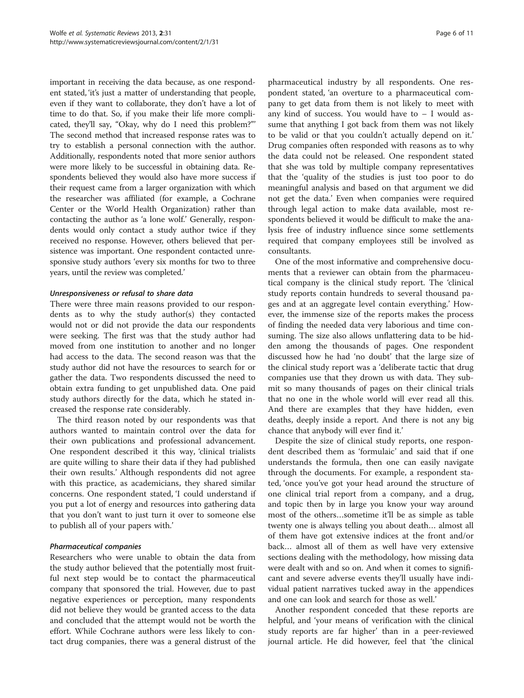important in receiving the data because, as one respondent stated, 'it's just a matter of understanding that people, even if they want to collaborate, they don't have a lot of time to do that. So, if you make their life more complicated, they'll say, "Okay, why do I need this problem?"' The second method that increased response rates was to try to establish a personal connection with the author. Additionally, respondents noted that more senior authors were more likely to be successful in obtaining data. Respondents believed they would also have more success if their request came from a larger organization with which the researcher was affiliated (for example, a Cochrane Center or the World Health Organization) rather than contacting the author as 'a lone wolf.' Generally, respondents would only contact a study author twice if they received no response. However, others believed that persistence was important. One respondent contacted unresponsive study authors 'every six months for two to three years, until the review was completed.'

### Unresponsiveness or refusal to share data

There were three main reasons provided to our respondents as to why the study author(s) they contacted would not or did not provide the data our respondents were seeking. The first was that the study author had moved from one institution to another and no longer had access to the data. The second reason was that the study author did not have the resources to search for or gather the data. Two respondents discussed the need to obtain extra funding to get unpublished data. One paid study authors directly for the data, which he stated increased the response rate considerably.

The third reason noted by our respondents was that authors wanted to maintain control over the data for their own publications and professional advancement. One respondent described it this way, 'clinical trialists are quite willing to share their data if they had published their own results.' Although respondents did not agree with this practice, as academicians, they shared similar concerns. One respondent stated, 'I could understand if you put a lot of energy and resources into gathering data that you don't want to just turn it over to someone else to publish all of your papers with.'

# Pharmaceutical companies

Researchers who were unable to obtain the data from the study author believed that the potentially most fruitful next step would be to contact the pharmaceutical company that sponsored the trial. However, due to past negative experiences or perception, many respondents did not believe they would be granted access to the data and concluded that the attempt would not be worth the effort. While Cochrane authors were less likely to contact drug companies, there was a general distrust of the pharmaceutical industry by all respondents. One respondent stated, 'an overture to a pharmaceutical company to get data from them is not likely to meet with any kind of success. You would have to – I would assume that anything I got back from them was not likely to be valid or that you couldn't actually depend on it.' Drug companies often responded with reasons as to why the data could not be released. One respondent stated that she was told by multiple company representatives that the 'quality of the studies is just too poor to do meaningful analysis and based on that argument we did not get the data.' Even when companies were required through legal action to make data available, most respondents believed it would be difficult to make the analysis free of industry influence since some settlements required that company employees still be involved as consultants.

One of the most informative and comprehensive documents that a reviewer can obtain from the pharmaceutical company is the clinical study report. The 'clinical study reports contain hundreds to several thousand pages and at an aggregate level contain everything.' However, the immense size of the reports makes the process of finding the needed data very laborious and time consuming. The size also allows unflattering data to be hidden among the thousands of pages. One respondent discussed how he had 'no doubt' that the large size of the clinical study report was a 'deliberate tactic that drug companies use that they drown us with data. They submit so many thousands of pages on their clinical trials that no one in the whole world will ever read all this. And there are examples that they have hidden, even deaths, deeply inside a report. And there is not any big chance that anybody will ever find it.'

Despite the size of clinical study reports, one respondent described them as 'formulaic' and said that if one understands the formula, then one can easily navigate through the documents. For example, a respondent stated, 'once you've got your head around the structure of one clinical trial report from a company, and a drug, and topic then by in large you know your way around most of the others…sometime it'll be as simple as table twenty one is always telling you about death… almost all of them have got extensive indices at the front and/or back… almost all of them as well have very extensive sections dealing with the methodology, how missing data were dealt with and so on. And when it comes to significant and severe adverse events they'll usually have individual patient narratives tucked away in the appendices and one can look and search for those as well.'

Another respondent conceded that these reports are helpful, and 'your means of verification with the clinical study reports are far higher' than in a peer-reviewed journal article. He did however, feel that 'the clinical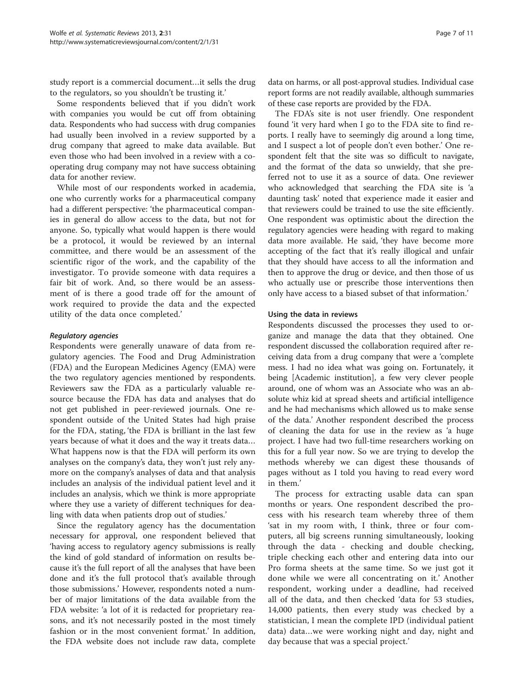study report is a commercial document…it sells the drug to the regulators, so you shouldn't be trusting it.'

Some respondents believed that if you didn't work with companies you would be cut off from obtaining data. Respondents who had success with drug companies had usually been involved in a review supported by a drug company that agreed to make data available. But even those who had been involved in a review with a cooperating drug company may not have success obtaining data for another review.

While most of our respondents worked in academia, one who currently works for a pharmaceutical company had a different perspective: 'the pharmaceutical companies in general do allow access to the data, but not for anyone. So, typically what would happen is there would be a protocol, it would be reviewed by an internal committee, and there would be an assessment of the scientific rigor of the work, and the capability of the investigator. To provide someone with data requires a fair bit of work. And, so there would be an assessment of is there a good trade off for the amount of work required to provide the data and the expected utility of the data once completed.'

### Regulatory agencies

Respondents were generally unaware of data from regulatory agencies. The Food and Drug Administration (FDA) and the European Medicines Agency (EMA) were the two regulatory agencies mentioned by respondents. Reviewers saw the FDA as a particularly valuable resource because the FDA has data and analyses that do not get published in peer-reviewed journals. One respondent outside of the United States had high praise for the FDA, stating, 'the FDA is brilliant in the last few years because of what it does and the way it treats data… What happens now is that the FDA will perform its own analyses on the company's data, they won't just rely anymore on the company's analyses of data and that analysis includes an analysis of the individual patient level and it includes an analysis, which we think is more appropriate where they use a variety of different techniques for dealing with data when patients drop out of studies.'

Since the regulatory agency has the documentation necessary for approval, one respondent believed that 'having access to regulatory agency submissions is really the kind of gold standard of information on results because it's the full report of all the analyses that have been done and it's the full protocol that's available through those submissions.' However, respondents noted a number of major limitations of the data available from the FDA website: 'a lot of it is redacted for proprietary reasons, and it's not necessarily posted in the most timely fashion or in the most convenient format.' In addition, the FDA website does not include raw data, complete

data on harms, or all post-approval studies. Individual case report forms are not readily available, although summaries of these case reports are provided by the FDA.

The FDA's site is not user friendly. One respondent found 'it very hard when I go to the FDA site to find reports. I really have to seemingly dig around a long time, and I suspect a lot of people don't even bother.' One respondent felt that the site was so difficult to navigate, and the format of the data so unwieldy, that she preferred not to use it as a source of data. One reviewer who acknowledged that searching the FDA site is 'a daunting task' noted that experience made it easier and that reviewers could be trained to use the site efficiently. One respondent was optimistic about the direction the regulatory agencies were heading with regard to making data more available. He said, 'they have become more accepting of the fact that it's really illogical and unfair that they should have access to all the information and then to approve the drug or device, and then those of us who actually use or prescribe those interventions then only have access to a biased subset of that information.'

#### Using the data in reviews

Respondents discussed the processes they used to organize and manage the data that they obtained. One respondent discussed the collaboration required after receiving data from a drug company that were a 'complete mess. I had no idea what was going on. Fortunately, it being [Academic institution], a few very clever people around, one of whom was an Associate who was an absolute whiz kid at spread sheets and artificial intelligence and he had mechanisms which allowed us to make sense of the data.' Another respondent described the process of cleaning the data for use in the review as 'a huge project. I have had two full-time researchers working on this for a full year now. So we are trying to develop the methods whereby we can digest these thousands of pages without as I told you having to read every word in them.'

The process for extracting usable data can span months or years. One respondent described the process with his research team whereby three of them 'sat in my room with, I think, three or four computers, all big screens running simultaneously, looking through the data - checking and double checking, triple checking each other and entering data into our Pro forma sheets at the same time. So we just got it done while we were all concentrating on it.' Another respondent, working under a deadline, had received all of the data, and then checked 'data for 53 studies, 14,000 patients, then every study was checked by a statistician, I mean the complete IPD (individual patient data) data…we were working night and day, night and day because that was a special project.'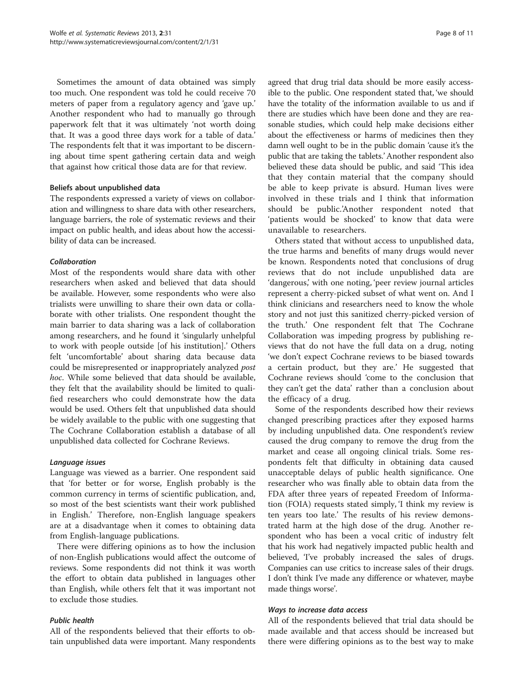Sometimes the amount of data obtained was simply too much. One respondent was told he could receive 70 meters of paper from a regulatory agency and 'gave up.' Another respondent who had to manually go through paperwork felt that it was ultimately 'not worth doing that. It was a good three days work for a table of data.' The respondents felt that it was important to be discerning about time spent gathering certain data and weigh that against how critical those data are for that review.

#### Beliefs about unpublished data

The respondents expressed a variety of views on collaboration and willingness to share data with other researchers, language barriers, the role of systematic reviews and their impact on public health, and ideas about how the accessibility of data can be increased.

### Collaboration

Most of the respondents would share data with other researchers when asked and believed that data should be available. However, some respondents who were also trialists were unwilling to share their own data or collaborate with other trialists. One respondent thought the main barrier to data sharing was a lack of collaboration among researchers, and he found it 'singularly unhelpful to work with people outside [of his institution].' Others felt 'uncomfortable' about sharing data because data could be misrepresented or inappropriately analyzed post hoc. While some believed that data should be available, they felt that the availability should be limited to qualified researchers who could demonstrate how the data would be used. Others felt that unpublished data should be widely available to the public with one suggesting that The Cochrane Collaboration establish a database of all unpublished data collected for Cochrane Reviews.

#### Language issues

Language was viewed as a barrier. One respondent said that 'for better or for worse, English probably is the common currency in terms of scientific publication, and, so most of the best scientists want their work published in English.' Therefore, non-English language speakers are at a disadvantage when it comes to obtaining data from English-language publications.

There were differing opinions as to how the inclusion of non-English publications would affect the outcome of reviews. Some respondents did not think it was worth the effort to obtain data published in languages other than English, while others felt that it was important not to exclude those studies.

#### Public health

All of the respondents believed that their efforts to obtain unpublished data were important. Many respondents

agreed that drug trial data should be more easily accessible to the public. One respondent stated that, 'we should have the totality of the information available to us and if there are studies which have been done and they are reasonable studies, which could help make decisions either about the effectiveness or harms of medicines then they damn well ought to be in the public domain 'cause it's the public that are taking the tablets.' Another respondent also believed these data should be public, and said 'This idea that they contain material that the company should be able to keep private is absurd. Human lives were involved in these trials and I think that information should be public.'Another respondent noted that 'patients would be shocked' to know that data were unavailable to researchers.

Others stated that without access to unpublished data, the true harms and benefits of many drugs would never be known. Respondents noted that conclusions of drug reviews that do not include unpublished data are 'dangerous,' with one noting, 'peer review journal articles represent a cherry-picked subset of what went on. And I think clinicians and researchers need to know the whole story and not just this sanitized cherry-picked version of the truth.' One respondent felt that The Cochrane Collaboration was impeding progress by publishing reviews that do not have the full data on a drug, noting 'we don't expect Cochrane reviews to be biased towards a certain product, but they are.' He suggested that Cochrane reviews should 'come to the conclusion that they can't get the data' rather than a conclusion about the efficacy of a drug.

Some of the respondents described how their reviews changed prescribing practices after they exposed harms by including unpublished data. One respondent's review caused the drug company to remove the drug from the market and cease all ongoing clinical trials. Some respondents felt that difficulty in obtaining data caused unacceptable delays of public health significance. One researcher who was finally able to obtain data from the FDA after three years of repeated Freedom of Information (FOIA) requests stated simply, 'I think my review is ten years too late.' The results of his review demonstrated harm at the high dose of the drug. Another respondent who has been a vocal critic of industry felt that his work had negatively impacted public health and believed, 'I've probably increased the sales of drugs. Companies can use critics to increase sales of their drugs. I don't think I've made any difference or whatever, maybe made things worse'.

#### Ways to increase data access

All of the respondents believed that trial data should be made available and that access should be increased but there were differing opinions as to the best way to make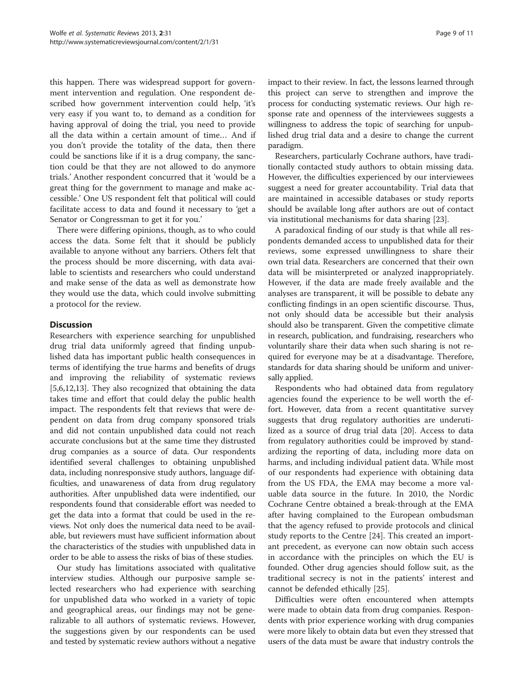this happen. There was widespread support for government intervention and regulation. One respondent described how government intervention could help, 'it's very easy if you want to, to demand as a condition for having approval of doing the trial, you need to provide all the data within a certain amount of time… And if you don't provide the totality of the data, then there could be sanctions like if it is a drug company, the sanction could be that they are not allowed to do anymore trials.' Another respondent concurred that it 'would be a great thing for the government to manage and make accessible.' One US respondent felt that political will could facilitate access to data and found it necessary to 'get a Senator or Congressman to get it for you.'

There were differing opinions, though, as to who could access the data. Some felt that it should be publicly available to anyone without any barriers. Others felt that the process should be more discerning, with data available to scientists and researchers who could understand and make sense of the data as well as demonstrate how they would use the data, which could involve submitting a protocol for the review.

# **Discussion**

Researchers with experience searching for unpublished drug trial data uniformly agreed that finding unpublished data has important public health consequences in terms of identifying the true harms and benefits of drugs and improving the reliability of systematic reviews [[5,6,12,13\]](#page-9-0). They also recognized that obtaining the data takes time and effort that could delay the public health impact. The respondents felt that reviews that were dependent on data from drug company sponsored trials and did not contain unpublished data could not reach accurate conclusions but at the same time they distrusted drug companies as a source of data. Our respondents identified several challenges to obtaining unpublished data, including nonresponsive study authors, language difficulties, and unawareness of data from drug regulatory authorities. After unpublished data were indentified, our respondents found that considerable effort was needed to get the data into a format that could be used in the reviews. Not only does the numerical data need to be available, but reviewers must have sufficient information about the characteristics of the studies with unpublished data in order to be able to assess the risks of bias of these studies.

Our study has limitations associated with qualitative interview studies. Although our purposive sample selected researchers who had experience with searching for unpublished data who worked in a variety of topic and geographical areas, our findings may not be generalizable to all authors of systematic reviews. However, the suggestions given by our respondents can be used and tested by systematic review authors without a negative

impact to their review. In fact, the lessons learned through this project can serve to strengthen and improve the process for conducting systematic reviews. Our high response rate and openness of the interviewees suggests a willingness to address the topic of searching for unpublished drug trial data and a desire to change the current paradigm.

Researchers, particularly Cochrane authors, have traditionally contacted study authors to obtain missing data. However, the difficulties experienced by our interviewees suggest a need for greater accountability. Trial data that are maintained in accessible databases or study reports should be available long after authors are out of contact via institutional mechanisms for data sharing [\[23](#page-10-0)].

A paradoxical finding of our study is that while all respondents demanded access to unpublished data for their reviews, some expressed unwillingness to share their own trial data. Researchers are concerned that their own data will be misinterpreted or analyzed inappropriately. However, if the data are made freely available and the analyses are transparent, it will be possible to debate any conflicting findings in an open scientific discourse. Thus, not only should data be accessible but their analysis should also be transparent. Given the competitive climate in research, publication, and fundraising, researchers who voluntarily share their data when such sharing is not required for everyone may be at a disadvantage. Therefore, standards for data sharing should be uniform and universally applied.

Respondents who had obtained data from regulatory agencies found the experience to be well worth the effort. However, data from a recent quantitative survey suggests that drug regulatory authorities are underutilized as a source of drug trial data [\[20](#page-10-0)]. Access to data from regulatory authorities could be improved by standardizing the reporting of data, including more data on harms, and including individual patient data. While most of our respondents had experience with obtaining data from the US FDA, the EMA may become a more valuable data source in the future. In 2010, the Nordic Cochrane Centre obtained a break-through at the EMA after having complained to the European ombudsman that the agency refused to provide protocols and clinical study reports to the Centre [[24\]](#page-10-0). This created an important precedent, as everyone can now obtain such access in accordance with the principles on which the EU is founded. Other drug agencies should follow suit, as the traditional secrecy is not in the patients' interest and cannot be defended ethically [[25\]](#page-10-0).

Difficulties were often encountered when attempts were made to obtain data from drug companies. Respondents with prior experience working with drug companies were more likely to obtain data but even they stressed that users of the data must be aware that industry controls the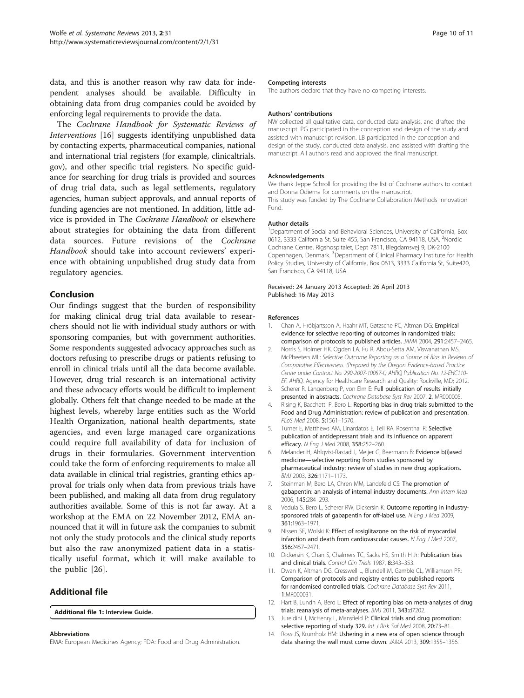<span id="page-9-0"></span>data, and this is another reason why raw data for independent analyses should be available. Difficulty in obtaining data from drug companies could be avoided by enforcing legal requirements to provide the data.

The Cochrane Handbook for Systematic Reviews of Interventions [[16\]](#page-10-0) suggests identifying unpublished data by contacting experts, pharmaceutical companies, national and international trial registers (for example, clinicaltrials. gov), and other specific trial registers. No specific guidance for searching for drug trials is provided and sources of drug trial data, such as legal settlements, regulatory agencies, human subject approvals, and annual reports of funding agencies are not mentioned. In addition, little advice is provided in The Cochrane Handbook or elsewhere about strategies for obtaining the data from different data sources. Future revisions of the Cochrane Handbook should take into account reviewers' experience with obtaining unpublished drug study data from regulatory agencies.

### Conclusion

Our findings suggest that the burden of responsibility for making clinical drug trial data available to researchers should not lie with individual study authors or with sponsoring companies, but with government authorities. Some respondents suggested advocacy approaches such as doctors refusing to prescribe drugs or patients refusing to enroll in clinical trials until all the data become available. However, drug trial research is an international activity and these advocacy efforts would be difficult to implement globally. Others felt that change needed to be made at the highest levels, whereby large entities such as the World Health Organization, national health departments, state agencies, and even large managed care organizations could require full availability of data for inclusion of drugs in their formularies. Government intervention could take the form of enforcing requirements to make all data available in clinical trial registries, granting ethics approval for trials only when data from previous trials have been published, and making all data from drug regulatory authorities available. Some of this is not far away. At a workshop at the EMA on 22 November 2012, EMA announced that it will in future ask the companies to submit not only the study protocols and the clinical study reports but also the raw anonymized patient data in a statistically useful format, which it will make available to the public [[26\]](#page-10-0).

# Additional file

[Additional file 1:](http://www.biomedcentral.com/content/supplementary/2046-4053-2-31-S1.docx) Interview Guide.

#### Abbreviations

EMA: European Medicines Agency; FDA: Food and Drug Administration.

#### Competing interests

The authors declare that they have no competing interests.

#### Authors' contributions

NW collected all qualitative data, conducted data analysis, and drafted the manuscript. PG participated in the conception and design of the study and assisted with manuscript revision. LB participated in the conception and design of the study, conducted data analysis, and assisted with drafting the manuscript. All authors read and approved the final manuscript.

#### Acknowledgements

We thank Jeppe Schroll for providing the list of Cochrane authors to contact and Donna Odierna for comments on the manuscript. This study was funded by The Cochrane Collaboration Methods Innovation Fund.

#### Author details

<sup>1</sup>Department of Social and Behavioral Sciences, University of California, Box 0612, 3333 California St, Suite 455, San Francisco, CA 94118, USA. <sup>2</sup>Nordic Cochrane Centre, Rigshospitalet, Dept 7811, Blegdamsvej 9, DK-2100 Copenhagen, Denmark. <sup>3</sup>Department of Clinical Pharmacy Institute for Health Policy Studies, University of California, Box 0613, 3333 California St, Suite420, San Francisco, CA 94118, USA.

#### Received: 24 January 2013 Accepted: 26 April 2013 Published: 16 May 2013

#### References

- 1. Chan A, Hróbjartsson A, Haahr MT, Gøtzsche PC, Altman DG: Empirical evidence for selective reporting of outcomes in randomized trials: comparison of protocols to published articles. JAMA 2004, 291:2457–2465.
- 2. Norris S, Holmer HK, Ogden LA, Fu R, Abou-Setta AM, Viswanathan MS, McPheeters ML: Selective Outcome Reporting as a Source of Bias in Reviews of Comparative Effectiveness. (Prepared by the Oregon Evidence-based Practice Center under Contract No. 290-2007-10057-I.) AHRQ Publication No. 12-EHC110- EF. AHRQ. Agency for Healthcare Research and Quality: Rockville, MD; 2012.
- 3. Scherer R, Langenberg P, von Elm E: Full publication of results initially presented in abstracts. Cochrane Database Syst Rev 2007, 2, MR000005.
- Rising K, Bacchetti P, Bero L: Reporting bias in drug trials submitted to the Food and Drug Administration: review of publication and presentation. PLoS Med 2008, 5:1561–1570.
- 5. Turner E, Matthews AM, Linardatos E, Tell RA, Rosenthal R: Selective publication of antidepressant trials and its influence on apparent efficacy. N Eng J Med 2008, 358:252–260.
- 6. Melander H, Ahlqvist-Rastad J, Meijer G, Beermann B: Evidence b(i)ased medicine—selective reporting from studies sponsored by pharmaceutical industry: review of studies in new drug applications. BMJ 2003, 326:1171–1173.
- 7. Steinman M, Bero LA, Chren MM, Landefeld CS: The promotion of gabapentin: an analysis of internal industry documents. Ann Intern Med 2006, 145:284–293.
- 8. Vedula S, Bero L, Scherer RW, Dickersin K: Outcome reporting in industrysponsored trials of gabapentin for off-label use. N Eng J Med 2009, 361:1963–1971.
- 9. Nissen SE, Wolski K: Effect of rosiglitazone on the risk of myocardial infarction and death from cardiovascular causes. N Eng J Med 2007, 356:2457–2471.
- 10. Dickersin K, Chan S, Chalmers TC, Sacks HS, Smith H Jr: Publication bias and clinical trials. Control Clin Trials 1987, 8:343–353.
- 11. Dwan K, Altman DG, Cresswell L, Blundell M, Gamble CL, Williamson PR: Comparison of protocols and registry entries to published reports for randomised controlled trials. Cochrane Database Syst Rev 2011, 1:MR000031.
- 12. Hart B, Lundh A, Bero L: Effect of reporting bias on meta-analyses of drug trials: reanalysis of meta-analyses. BMJ 2011, 343:d7202.
- 13. Jureidini J, McHenry L, Mansfield P: Clinical trials and drug promotion: selective reporting of study 329. Int J Risk Saf Med 2008, 20:73-81.
- 14. Ross JS, Krumholz HM: Ushering in a new era of open science through data sharing: the wall must come down. JAMA 2013, 309:1355–1356.